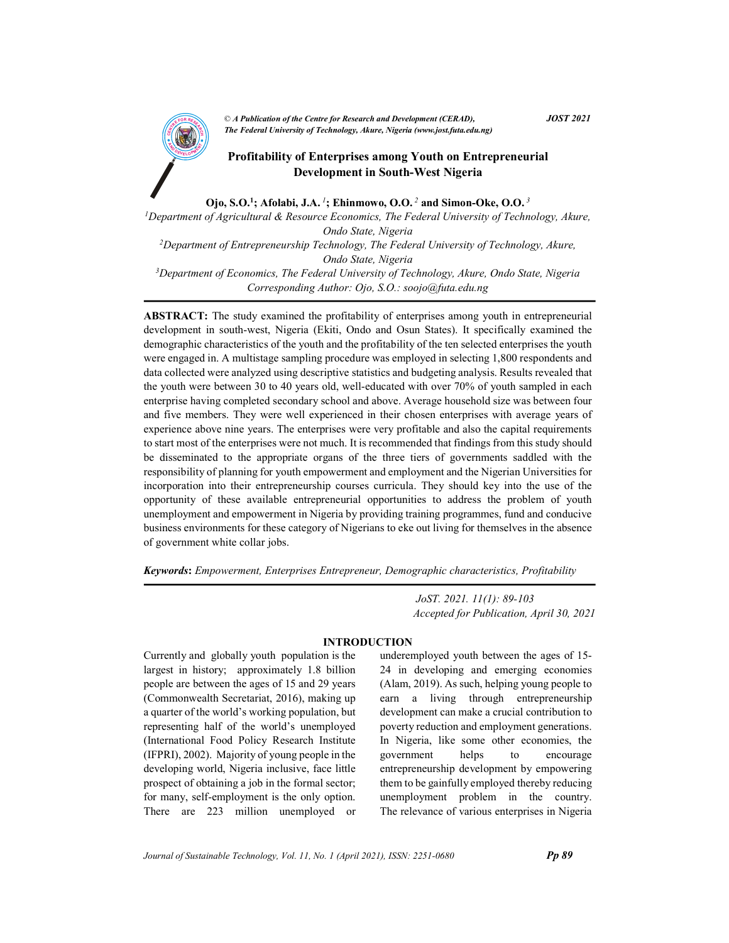

CA Publication of the Centre for Kesearch and Development (CEKAD),<br>The Federal University of Technology, Akure, Nigeria (www.jost.futa.edu.ng) © A Publication of the Centre for Research and Development (CERAD),  $JOST 2021$ 

# AND Profitability of Enterprises among Youth on Entrepreneurial Development in South-West Nigeria

Ojo, S.O.<sup>1</sup>; Afolabi, J.A.<sup>1</sup>; Ehinmowo, O.O.<sup>2</sup> and Simon-Oke, O.O.<sup>3</sup>

<sup>1</sup>Department of Agricultural & Resource Economics, The Federal University of Technology, Akure, Ondo State, Nigeria <sup>2</sup>Department of Entrepreneurship Technology, The Federal University of Technology, Akure, Ondo State, Nigeria  $3$ Department of Economics, The Federal University of Technology, Akure, Ondo State, Nigeria Corresponding Author: Ojo, S.O.: soojo@futa.edu.ng

ABSTRACT: The study examined the profitability of enterprises among youth in entrepreneurial development in south-west, Nigeria (Ekiti, Ondo and Osun States). It specifically examined the demographic characteristics of the youth and the profitability of the ten selected enterprises the youth were engaged in. A multistage sampling procedure was employed in selecting 1,800 respondents and data collected were analyzed using descriptive statistics and budgeting analysis. Results revealed that the youth were between 30 to 40 years old, well-educated with over 70% of youth sampled in each enterprise having completed secondary school and above. Average household size was between four and five members. They were well experienced in their chosen enterprises with average years of experience above nine years. The enterprises were very profitable and also the capital requirements to start most of the enterprises were not much. It is recommended that findings from this study should be disseminated to the appropriate organs of the three tiers of governments saddled with the responsibility of planning for youth empowerment and employment and the Nigerian Universities for incorporation into their entrepreneurship courses curricula. They should key into the use of the opportunity of these available entrepreneurial opportunities to address the problem of youth unemployment and empowerment in Nigeria by providing training programmes, fund and conducive business environments for these category of Nigerians to eke out living for themselves in the absence of government white collar jobs.

Keywords: Empowerment, Enterprises Entrepreneur, Demographic characteristics, Profitability

 JoST. 2021. 11(1): 89-103 Accepted for Publication, April 30, 2021

# INTRODUCTION

Currently and globally youth population is the largest in history; approximately 1.8 billion people are between the ages of 15 and 29 years (Commonwealth Secretariat, 2016), making up a quarter of the world's working population, but representing half of the world's unemployed (International Food Policy Research Institute (IFPRI), 2002). Majority of young people in the developing world, Nigeria inclusive, face little prospect of obtaining a job in the formal sector; for many, self-employment is the only option. There are 223 million unemployed or underemployed youth between the ages of 15- 24 in developing and emerging economies (Alam, 2019). As such, helping young people to earn a living through entrepreneurship development can make a crucial contribution to poverty reduction and employment generations. In Nigeria, like some other economies, the government helps to encourage entrepreneurship development by empowering them to be gainfully employed thereby reducing unemployment problem in the country. The relevance of various enterprises in Nigeria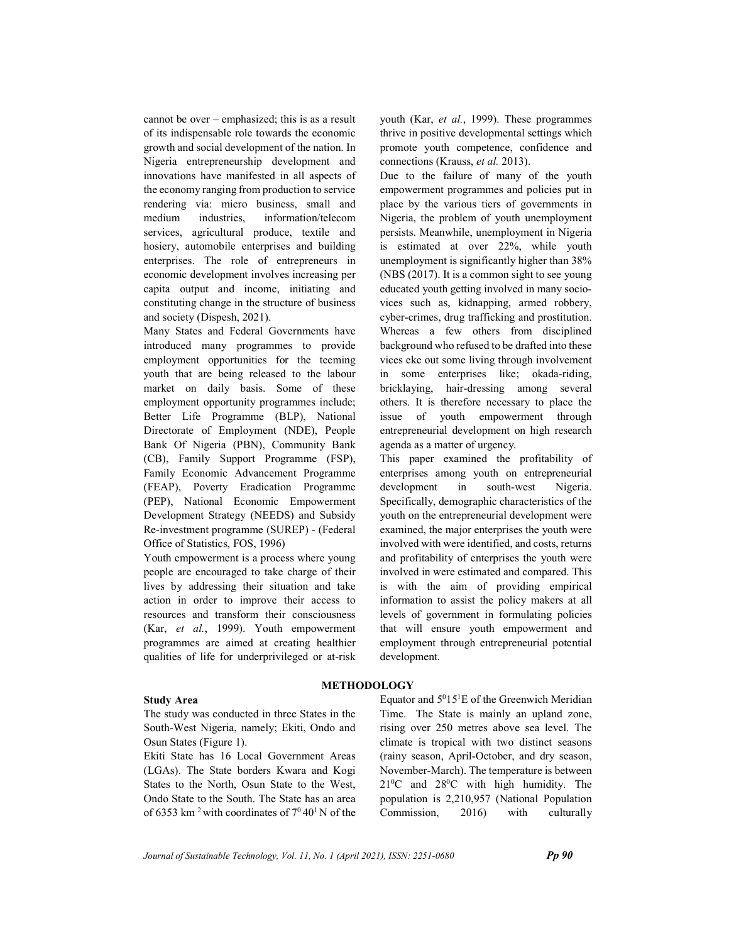cannot be over – emphasized; this is as a result of its indispensable role towards the economic growth and social development of the nation. In Nigeria entrepreneurship development and innovations have manifested in all aspects of the economy ranging from production to service rendering via: micro business, small and medium industries, information/telecom services, agricultural produce, textile and hosiery, automobile enterprises and building enterprises. The role of entrepreneurs in economic development involves increasing per capita output and income, initiating and constituting change in the structure of business and society (Dispesh, 2021).

Many States and Federal Governments have introduced many programmes to provide employment opportunities for the teeming youth that are being released to the labour market on daily basis. Some of these employment opportunity programmes include; Better Life Programme (BLP), National Directorate of Employment (NDE), People Bank Of Nigeria (PBN), Community Bank (CB), Family Support Programme (FSP), Family Economic Advancement Programme (FEAP), Poverty Eradication Programme (PEP), National Economic Empowerment Development Strategy (NEEDS) and Subsidy Re-investment programme (SUREP) - (Federal Office of Statistics, FOS, 1996)

Youth empowerment is a process where young people are encouraged to take charge of their lives by addressing their situation and take action in order to improve their access to resources and transform their consciousness (Kar, et al., 1999). Youth empowerment programmes are aimed at creating healthier qualities of life for underprivileged or at-risk youth (Kar, et al., 1999). These programmes thrive in positive developmental settings which promote youth competence, confidence and connections (Krauss, et al. 2013).

Due to the failure of many of the youth empowerment programmes and policies put in place by the various tiers of governments in Nigeria, the problem of youth unemployment persists. Meanwhile, unemployment in Nigeria is estimated at over 22%, while youth unemployment is significantly higher than 38% (NBS (2017). It is a common sight to see young educated youth getting involved in many sociovices such as, kidnapping, armed robbery, cyber-crimes, drug trafficking and prostitution. Whereas a few others from disciplined background who refused to be drafted into these vices eke out some living through involvement in some enterprises like; okada-riding, bricklaying, hair-dressing among several others. It is therefore necessary to place the issue of youth empowerment through entrepreneurial development on high research agenda as a matter of urgency.

This paper examined the profitability of enterprises among youth on entrepreneurial development in south-west Nigeria. Specifically, demographic characteristics of the youth on the entrepreneurial development were examined, the major enterprises the youth were involved with were identified, and costs, returns and profitability of enterprises the youth were involved in were estimated and compared. This is with the aim of providing empirical information to assist the policy makers at all levels of government in formulating policies that will ensure youth empowerment and employment through entrepreneurial potential development.

# METHODOLOGY

#### Study Area

The study was conducted in three States in the South-West Nigeria, namely; Ekiti, Ondo and Osun States (Figure 1).

Ekiti State has 16 Local Government Areas (LGAs). The State borders Kwara and Kogi States to the North, Osun State to the West, Ondo State to the South. The State has an area of 6353 km<sup>2</sup> with coordinates of  $7^0 40^1$  N of the Equator and  $5^015^1E$  of the Greenwich Meridian Time. The State is mainly an upland zone, rising over 250 metres above sea level. The climate is tropical with two distinct seasons (rainy season, April-October, and dry season, November-March). The temperature is between  $21^{0}$ C and  $28^{0}$ C with high humidity. The population is 2,210,957 (National Population Commission, 2016) with culturally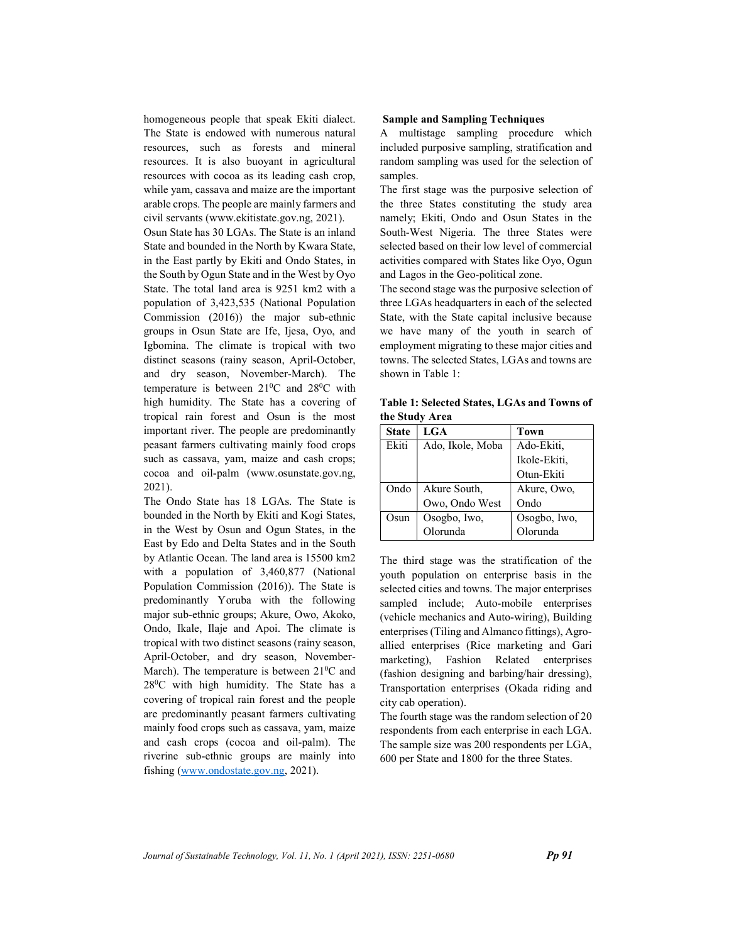homogeneous people that speak Ekiti dialect. The State is endowed with numerous natural resources, such as forests and mineral resources. It is also buoyant in agricultural resources with cocoa as its leading cash crop, while yam, cassava and maize are the important arable crops. The people are mainly farmers and civil servants (www.ekitistate.gov.ng, 2021).

Osun State has 30 LGAs. The State is an inland State and bounded in the North by Kwara State, in the East partly by Ekiti and Ondo States, in the South by Ogun State and in the West by Oyo State. The total land area is 9251 km2 with a population of 3,423,535 (National Population Commission (2016)) the major sub-ethnic groups in Osun State are Ife, Ijesa, Oyo, and Igbomina. The climate is tropical with two distinct seasons (rainy season, April-October, and dry season, November-March). The temperature is between 21<sup>0</sup>C and 28<sup>0</sup>C with high humidity. The State has a covering of tropical rain forest and Osun is the most important river. The people are predominantly peasant farmers cultivating mainly food crops such as cassava, yam, maize and cash crops; cocoa and oil-palm (www.osunstate.gov.ng, 2021).

The Ondo State has 18 LGAs. The State is bounded in the North by Ekiti and Kogi States, in the West by Osun and Ogun States, in the East by Edo and Delta States and in the South by Atlantic Ocean. The land area is 15500 km2 with a population of 3,460,877 (National Population Commission (2016)). The State is predominantly Yoruba with the following major sub-ethnic groups; Akure, Owo, Akoko, Ondo, Ikale, Ilaje and Apoi. The climate is tropical with two distinct seasons (rainy season, April-October, and dry season, November-March). The temperature is between  $21\textsuperscript{0}C$  and  $28^{\circ}$ C with high humidity. The State has a covering of tropical rain forest and the people are predominantly peasant farmers cultivating mainly food crops such as cassava, yam, maize and cash crops (cocoa and oil-palm). The riverine sub-ethnic groups are mainly into fishing (www.ondostate.gov.ng, 2021).

#### Sample and Sampling Techniques

A multistage sampling procedure which included purposive sampling, stratification and random sampling was used for the selection of samples.

The first stage was the purposive selection of the three States constituting the study area namely; Ekiti, Ondo and Osun States in the South-West Nigeria. The three States were selected based on their low level of commercial activities compared with States like Oyo, Ogun and Lagos in the Geo-political zone.

The second stage was the purposive selection of three LGAs headquarters in each of the selected State, with the State capital inclusive because we have many of the youth in search of employment migrating to these major cities and towns. The selected States, LGAs and towns are shown in Table 1:

Table 1: Selected States, LGAs and Towns of the Study Area

| <b>State</b> | LGA              | Town         |
|--------------|------------------|--------------|
| Ekiti        | Ado, Ikole, Moba | Ado-Ekiti,   |
|              |                  | Ikole-Ekiti, |
|              |                  | Otun-Ekiti   |
| Ondo         | Akure South,     | Akure, Owo,  |
|              | Owo, Ondo West   | Ondo         |
| Osun         | Osogbo, Iwo,     | Osogbo, Iwo, |
|              | Olorunda         | Olorunda     |

The third stage was the stratification of the youth population on enterprise basis in the selected cities and towns. The major enterprises sampled include; Auto-mobile enterprises (vehicle mechanics and Auto-wiring), Building enterprises (Tiling and Almanco fittings), Agroallied enterprises (Rice marketing and Gari marketing), Fashion Related enterprises (fashion designing and barbing/hair dressing), Transportation enterprises (Okada riding and city cab operation).

The fourth stage was the random selection of 20 respondents from each enterprise in each LGA. The sample size was 200 respondents per LGA, 600 per State and 1800 for the three States.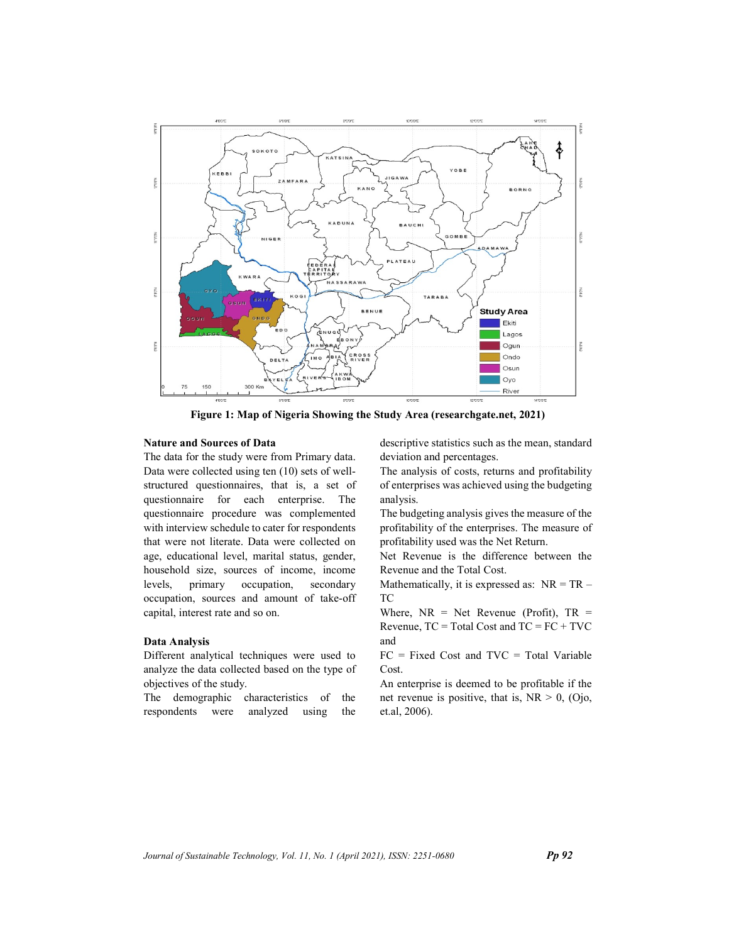

Figure 1: Map of Nigeria Showing the Study Area (researchgate.net, 2021)

#### Nature and Sources of Data

The data for the study were from Primary data. Data were collected using ten (10) sets of wellstructured questionnaires, that is, a set of questionnaire for each enterprise. The questionnaire procedure was complemented with interview schedule to cater for respondents that were not literate. Data were collected on age, educational level, marital status, gender, household size, sources of income, income levels, primary occupation, secondary occupation, sources and amount of take-off capital, interest rate and so on.

#### Data Analysis

Different analytical techniques were used to analyze the data collected based on the type of objectives of the study.

The demographic characteristics of the respondents were analyzed using the descriptive statistics such as the mean, standard deviation and percentages.

The analysis of costs, returns and profitability of enterprises was achieved using the budgeting analysis.

The budgeting analysis gives the measure of the profitability of the enterprises. The measure of profitability used was the Net Return.

Net Revenue is the difference between the Revenue and the Total Cost.

Mathematically, it is expressed as:  $NR = TR -$ TC

Where,  $NR = Net$  Revenue (Profit),  $TR =$ Revenue,  $TC = Total Cost$  and  $TC = FC + TVC$ and

 $FC = Fixed Cost and TVC = Total Variable$ Cost.

An enterprise is deemed to be profitable if the net revenue is positive, that is,  $NR > 0$ , (Ojo, et.al, 2006).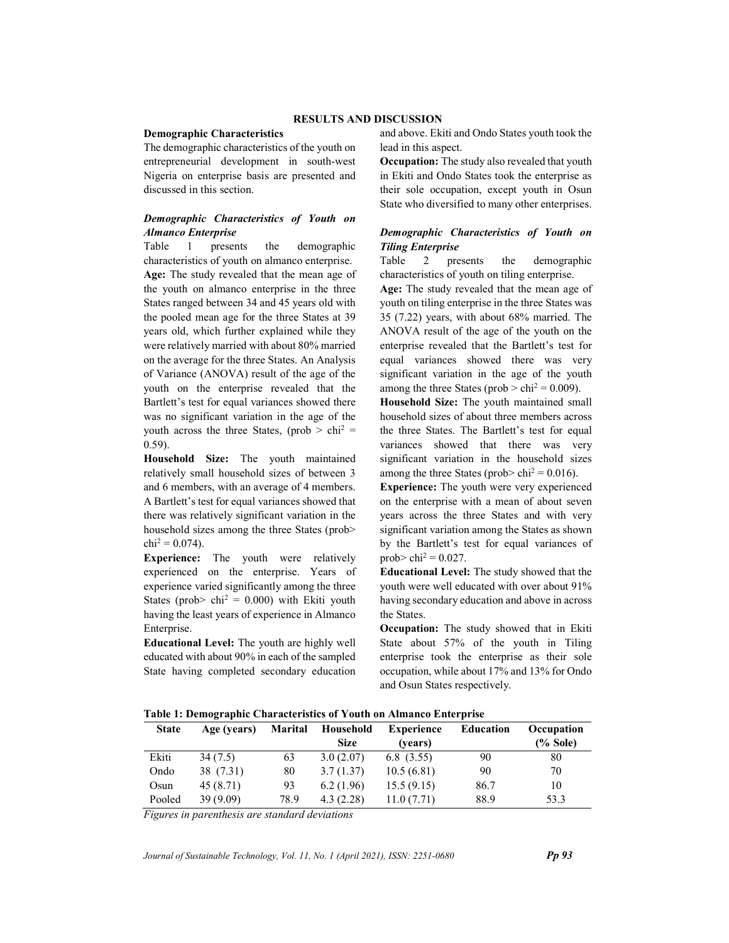#### RESULTS AND DISCUSSION

#### Demographic Characteristics

The demographic characteristics of the youth on entrepreneurial development in south-west Nigeria on enterprise basis are presented and discussed in this section.

#### Demographic Characteristics of Youth on Almanco Enterprise

Table 1 presents the demographic characteristics of youth on almanco enterprise. Age: The study revealed that the mean age of the youth on almanco enterprise in the three States ranged between 34 and 45 years old with the pooled mean age for the three States at 39 years old, which further explained while they were relatively married with about 80% married on the average for the three States. An Analysis of Variance (ANOVA) result of the age of the youth on the enterprise revealed that the Bartlett's test for equal variances showed there was no significant variation in the age of the youth across the three States, (prob  $>$  chi<sup>2</sup> = 0.59).

Household Size: The youth maintained relatively small household sizes of between 3 and 6 members, with an average of 4 members. A Bartlett's test for equal variances showed that there was relatively significant variation in the household sizes among the three States (prob>  $\text{chi}^2 = 0.074$ ).

Experience: The youth were relatively experienced on the enterprise. Years of experience varied significantly among the three States (prob>  $\text{chi}^2 = 0.000$ ) with Ekiti youth having the least years of experience in Almanco Enterprise.

Educational Level: The youth are highly well educated with about 90% in each of the sampled State having completed secondary education and above. Ekiti and Ondo States youth took the lead in this aspect.

Occupation: The study also revealed that youth in Ekiti and Ondo States took the enterprise as their sole occupation, except youth in Osun State who diversified to many other enterprises.

#### Demographic Characteristics of Youth on Tiling Enterprise

Table 2 presents the demographic characteristics of youth on tiling enterprise.

Age: The study revealed that the mean age of youth on tiling enterprise in the three States was 35 (7.22) years, with about 68% married. The ANOVA result of the age of the youth on the enterprise revealed that the Bartlett's test for equal variances showed there was very significant variation in the age of the youth among the three States ( $prob > chi^2 = 0.009$ ).

Household Size: The youth maintained small household sizes of about three members across the three States. The Bartlett's test for equal variances showed that there was very significant variation in the household sizes among the three States (prob>  $\text{chi}^2 = 0.016$ ).

Experience: The youth were very experienced on the enterprise with a mean of about seven years across the three States and with very significant variation among the States as shown by the Bartlett's test for equal variances of prob>  $\text{chi}^2 = 0.027$ .

Educational Level: The study showed that the youth were well educated with over about 91% having secondary education and above in across the States.

Occupation: The study showed that in Ekiti State about 57% of the youth in Tiling enterprise took the enterprise as their sole occupation, while about 17% and 13% for Ondo and Osun States respectively.

Table 1: Demographic Characteristics of Youth on Almanco Enterprise

| <b>State</b> | Age (years) | <b>Marital</b> | Household   | <b>Experience</b> | <b>Education</b> | Occupation  |
|--------------|-------------|----------------|-------------|-------------------|------------------|-------------|
|              |             |                | <b>Size</b> | (vears)           |                  | $(\%$ Sole) |
| Ekiti        | 34(7.5)     | 63             | 3.0(2.07)   | 6.8(3.55)         | 90               | 80          |
| Ondo         | 38 (7.31)   | 80             | 3.7(1.37)   | 10.5(6.81)        | 90               | 70          |
| Osun         | 45(8.71)    | 93             | 6.2(1.96)   | 15.5(9.15)        | 86.7             | 10          |
| Pooled       | 39(9.09)    | 78.9           | 4.3(2.28)   | 11.0(7.71)        | 88.9             | 53.3        |

Figures in parenthesis are standard deviations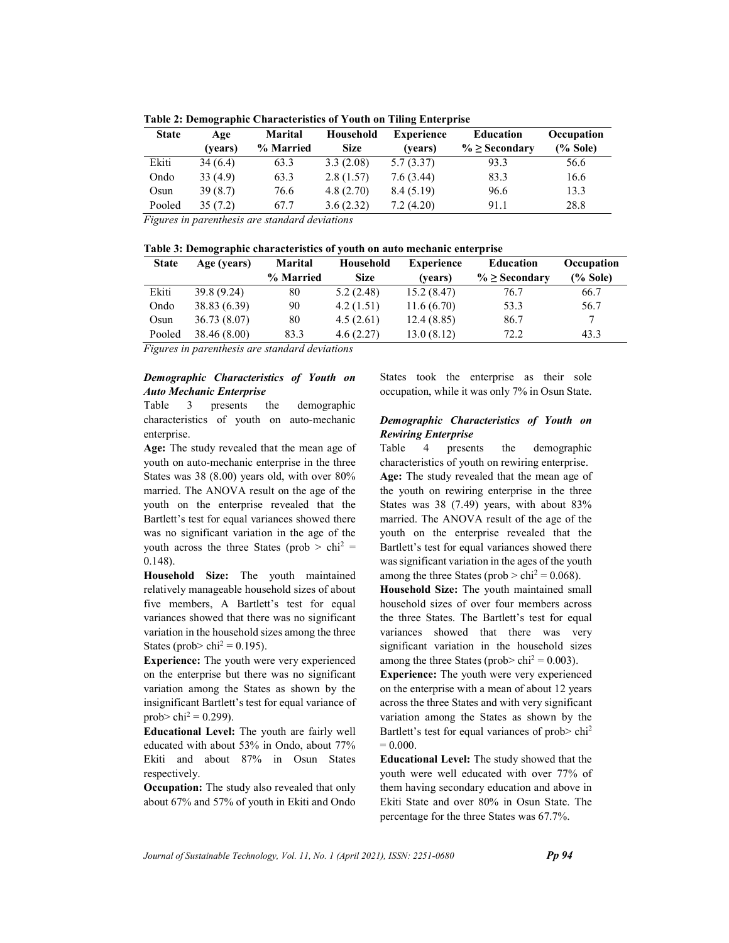| <b>State</b> | Age     | <b>Marital</b> | Household   | <b>Experience</b> | Education           | Occupation  |
|--------------|---------|----------------|-------------|-------------------|---------------------|-------------|
|              | (vears) | % Married      | <b>Size</b> | (vears)           | $\% \geq$ Secondary | $(\%$ Sole) |
| Ekiti        | 34(6.4) | 63.3           | 3.3(2.08)   | 5.7(3.37)         | 93.3                | 56.6        |
| Ondo         | 33(4.9) | 63.3           | 2.8(1.57)   | 7.6(3.44)         | 83.3                | 16.6        |
| Osun         | 39(8.7) | 76.6           | 4.8(2.70)   | 8.4(5.19)         | 96.6                | 13.3        |
| Pooled       | 35(7.2) | 67.7           | 3.6(2.32)   | 7.2(4.20)         | 91.1                | 28.8        |

Table 2: Demographic Characteristics of Youth on Tiling Enterprise

|  |  | Table 3: Demographic characteristics of youth on auto mechanic enterprise |  |
|--|--|---------------------------------------------------------------------------|--|
|  |  |                                                                           |  |

| <b>State</b> | Age (years)  | <b>Marital</b> | Household   | <b>Experience</b> | <b>Education</b>    | Occupation  |
|--------------|--------------|----------------|-------------|-------------------|---------------------|-------------|
|              |              | % Married      | <b>Size</b> | (vears)           | $\% \geq$ Secondary | $(\%$ Sole) |
| Ekiti        | 39.8 (9.24)  | 80             | 5.2(2.48)   | 15.2(8.47)        | 76.7                | 66.7        |
| Ondo         | 38.83(6.39)  | 90             | 4.2(1.51)   | 11.6(6.70)        | 53.3                | 56.7        |
| Osun         | 36.73(8.07)  | 80             | 4.5(2.61)   | 12.4(8.85)        | 86.7                |             |
| Pooled       | 38.46 (8.00) | 83.3           | 4.6(2.27)   | 13.0(8.12)        | 72.2                | 43.3        |

Figures in parenthesis are standard deviations

### Demographic Characteristics of Youth on Auto Mechanic Enterprise

Table 3 presents the demographic characteristics of youth on auto-mechanic enterprise.

Age: The study revealed that the mean age of youth on auto-mechanic enterprise in the three States was 38 (8.00) years old, with over 80% married. The ANOVA result on the age of the youth on the enterprise revealed that the Bartlett's test for equal variances showed there was no significant variation in the age of the youth across the three States (prob  $>$  chi<sup>2</sup> = 0.148).

Household Size: The youth maintained relatively manageable household sizes of about five members, A Bartlett's test for equal variances showed that there was no significant variation in the household sizes among the three States (prob>  $\text{chi}^2 = 0.195$ ).

Experience: The youth were very experienced on the enterprise but there was no significant variation among the States as shown by the insignificant Bartlett's test for equal variance of prob>  $\text{chi}^2 = 0.299$ ).

Educational Level: The youth are fairly well educated with about 53% in Ondo, about 77% Ekiti and about 87% in Osun States respectively.

Occupation: The study also revealed that only about 67% and 57% of youth in Ekiti and Ondo States took the enterprise as their sole occupation, while it was only 7% in Osun State.

## Demographic Characteristics of Youth on Rewiring Enterprise

Table 4 presents the demographic characteristics of youth on rewiring enterprise. Age: The study revealed that the mean age of the youth on rewiring enterprise in the three States was 38 (7.49) years, with about 83% married. The ANOVA result of the age of the youth on the enterprise revealed that the Bartlett's test for equal variances showed there was significant variation in the ages of the youth among the three States ( $prob > chi^2 = 0.068$ ).

Household Size: The youth maintained small household sizes of over four members across the three States. The Bartlett's test for equal variances showed that there was very significant variation in the household sizes among the three States (prob>  $\text{chi}^2 = 0.003$ ).

Experience: The youth were very experienced on the enterprise with a mean of about 12 years across the three States and with very significant variation among the States as shown by the Bartlett's test for equal variances of prob> chi<sup>2</sup>  $= 0.000$ .

Educational Level: The study showed that the youth were well educated with over 77% of them having secondary education and above in Ekiti State and over 80% in Osun State. The percentage for the three States was 67.7%.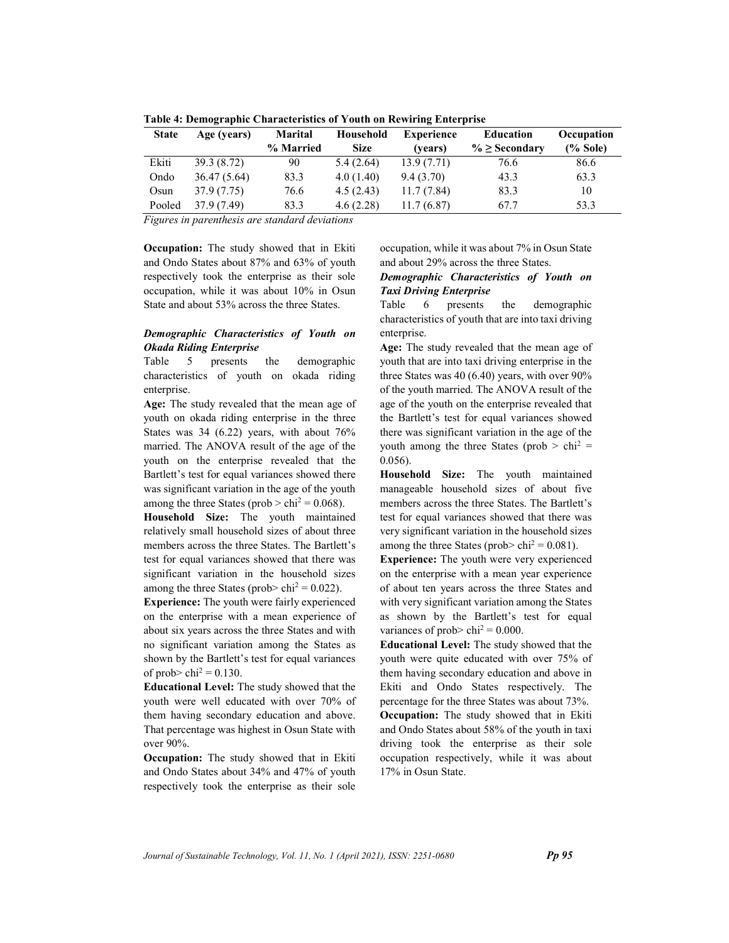| <b>State</b> | Age (years)  | <b>Marital</b> | Household   | <b>Experience</b> | <b>Education</b>    | Occupation  |
|--------------|--------------|----------------|-------------|-------------------|---------------------|-------------|
|              |              | % Married      | <b>Size</b> | (vears)           | $\% \geq$ Secondary | $(\%$ Sole) |
| Ekiti        | 39.3 (8.72)  | 90             | 5.4(2.64)   | 13.9(7.71)        | 76.6                | 86.6        |
| Ondo         | 36.47 (5.64) | 83.3           | 4.0(1.40)   | 9.4(3.70)         | 43.3                | 63.3        |
| Osun         | 37.9 (7.75)  | 76.6           | 4.5(2.43)   | 11.7(7.84)        | 83.3                | 10          |
| Pooled       | 37.9 (7.49)  | 83.3           | 4.6(2.28)   | 11.7(6.87)        | 67.7                | 53.3        |

Table 4: Demographic Characteristics of Youth on Rewiring Enterprise

Occupation: The study showed that in Ekiti and Ondo States about 87% and 63% of youth respectively took the enterprise as their sole occupation, while it was about 10% in Osun State and about 53% across the three States.

# Demographic Characteristics of Youth on Okada Riding Enterprise

Table 5 presents the demographic characteristics of youth on okada riding enterprise.

Age: The study revealed that the mean age of youth on okada riding enterprise in the three States was 34 (6.22) years, with about 76% married. The ANOVA result of the age of the youth on the enterprise revealed that the Bartlett's test for equal variances showed there was significant variation in the age of the youth among the three States ( $prob > chi^2 = 0.068$ ).

Household Size: The youth maintained relatively small household sizes of about three members across the three States. The Bartlett's test for equal variances showed that there was significant variation in the household sizes among the three States (prob>  $\text{chi}^2 = 0.022$ ).

Experience: The youth were fairly experienced on the enterprise with a mean experience of about six years across the three States and with no significant variation among the States as shown by the Bartlett's test for equal variances of prob>  $\text{chi}^2 = 0.130$ .

Educational Level: The study showed that the youth were well educated with over 70% of them having secondary education and above. That percentage was highest in Osun State with over 90%.

Occupation: The study showed that in Ekiti and Ondo States about 34% and 47% of youth respectively took the enterprise as their sole occupation, while it was about 7% in Osun State and about 29% across the three States.

# Demographic Characteristics of Youth on Taxi Driving Enterprise

Table 6 presents the demographic characteristics of youth that are into taxi driving enterprise.

Age: The study revealed that the mean age of youth that are into taxi driving enterprise in the three States was 40 (6.40) years, with over 90% of the youth married. The ANOVA result of the age of the youth on the enterprise revealed that the Bartlett's test for equal variances showed there was significant variation in the age of the youth among the three States (prob  $>$  chi<sup>2</sup> = 0.056).

Household Size: The youth maintained manageable household sizes of about five members across the three States. The Bartlett's test for equal variances showed that there was very significant variation in the household sizes among the three States (prob>  $\text{chi}^2 = 0.081$ ).

Experience: The youth were very experienced on the enterprise with a mean year experience of about ten years across the three States and with very significant variation among the States as shown by the Bartlett's test for equal variances of prob>  $\text{chi}^2 = 0.000$ .

Educational Level: The study showed that the youth were quite educated with over 75% of them having secondary education and above in Ekiti and Ondo States respectively. The percentage for the three States was about 73%. Occupation: The study showed that in Ekiti and Ondo States about 58% of the youth in taxi driving took the enterprise as their sole occupation respectively, while it was about 17% in Osun State.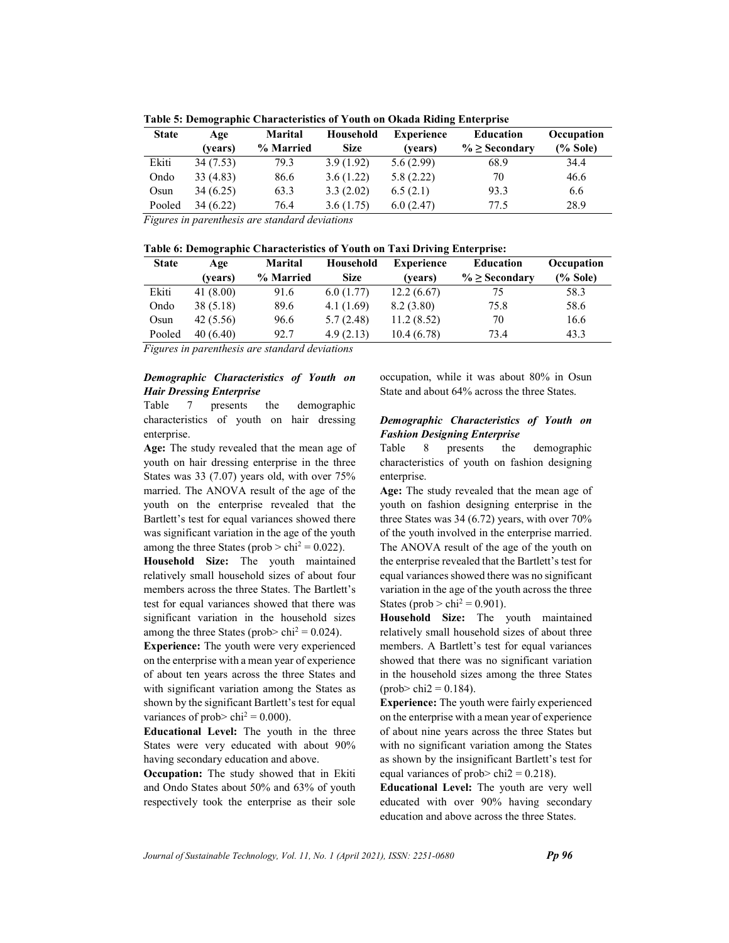| <b>State</b> | Age       | <b>Marital</b> | Household   | <b>Experience</b> | <b>Education</b>    | Occupation  |
|--------------|-----------|----------------|-------------|-------------------|---------------------|-------------|
|              | (vears)   | % Married      | <b>Size</b> | (vears)           | $\% \geq$ Secondary | $(\%$ Sole) |
| Ekiti        | 34(7.53)  | 79.3           | 3.9(1.92)   | 5.6(2.99)         | 68.9                | 34.4        |
| Ondo         | 33 (4.83) | 86.6           | 3.6(1.22)   | 5.8(2.22)         | 70                  | 46.6        |
| Osun         | 34(6.25)  | 63.3           | 3.3(2.02)   | 6.5(2.1)          | 93.3                | 6.6         |
| Pooled       | 34 (6.22) | 76.4           | 3.6(1.75)   | 6.0(2.47)         | 77.5                | 28.9        |

Table 5: Demographic Characteristics of Youth on Okada Riding Enterprise

|  | Table 6: Demographic Characteristics of Youth on Taxi Driving Enterprise: |  |  |
|--|---------------------------------------------------------------------------|--|--|
|  |                                                                           |  |  |

| <b>State</b> | Age      | <b>Marital</b> | Household   | <b>Experience</b> | <b>Education</b>    | Occupation  |
|--------------|----------|----------------|-------------|-------------------|---------------------|-------------|
|              | (vears)  | % Married      | <b>Size</b> | (vears)           | $\% \geq$ Secondary | $(\%$ Sole) |
| Ekiti        | 41(8.00) | 91.6           | 6.0(1.77)   | 12.2(6.67)        | 75                  | 58.3        |
| Ondo         | 38(5.18) | 89.6           | 4.1(1.69)   | 8.2(3.80)         | 75.8                | 58.6        |
| Osun         | 42(5.56) | 96.6           | 5.7(2.48)   | 11.2(8.52)        | 70                  | 16.6        |
| Pooled       | 40(6.40) | 92.7           | 4.9(2.13)   | 10.4(6.78)        | 73.4                | 43.3        |

Figures in parenthesis are standard deviations

### Demographic Characteristics of Youth on Hair Dressing Enterprise

Table 7 presents the demographic characteristics of youth on hair dressing enterprise.

Age: The study revealed that the mean age of youth on hair dressing enterprise in the three States was 33 (7.07) years old, with over 75% married. The ANOVA result of the age of the youth on the enterprise revealed that the Bartlett's test for equal variances showed there was significant variation in the age of the youth among the three States ( $prob > chi^2 = 0.022$ ).

Household Size: The youth maintained relatively small household sizes of about four members across the three States. The Bartlett's test for equal variances showed that there was significant variation in the household sizes among the three States (prob>  $\text{chi}^2 = 0.024$ ).

Experience: The youth were very experienced on the enterprise with a mean year of experience of about ten years across the three States and with significant variation among the States as shown by the significant Bartlett's test for equal variances of prob>  $\text{chi}^2 = 0.000$ ).

Educational Level: The youth in the three States were very educated with about 90% having secondary education and above.

Occupation: The study showed that in Ekiti and Ondo States about 50% and 63% of youth respectively took the enterprise as their sole occupation, while it was about 80% in Osun State and about 64% across the three States.

#### Demographic Characteristics of Youth on Fashion Designing Enterprise

Table 8 presents the demographic characteristics of youth on fashion designing enterprise.

Age: The study revealed that the mean age of youth on fashion designing enterprise in the three States was 34 (6.72) years, with over 70% of the youth involved in the enterprise married. The ANOVA result of the age of the youth on the enterprise revealed that the Bartlett's test for equal variances showed there was no significant variation in the age of the youth across the three States (prob  $>$  chi<sup>2</sup> = 0.901).

Household Size: The youth maintained relatively small household sizes of about three members. A Bartlett's test for equal variances showed that there was no significant variation in the household sizes among the three States  $(\text{prob} > \text{chi2} = 0.184).$ 

Experience: The youth were fairly experienced on the enterprise with a mean year of experience of about nine years across the three States but with no significant variation among the States as shown by the insignificant Bartlett's test for equal variances of prob> chi $2 = 0.218$ .

Educational Level: The youth are very well educated with over 90% having secondary education and above across the three States.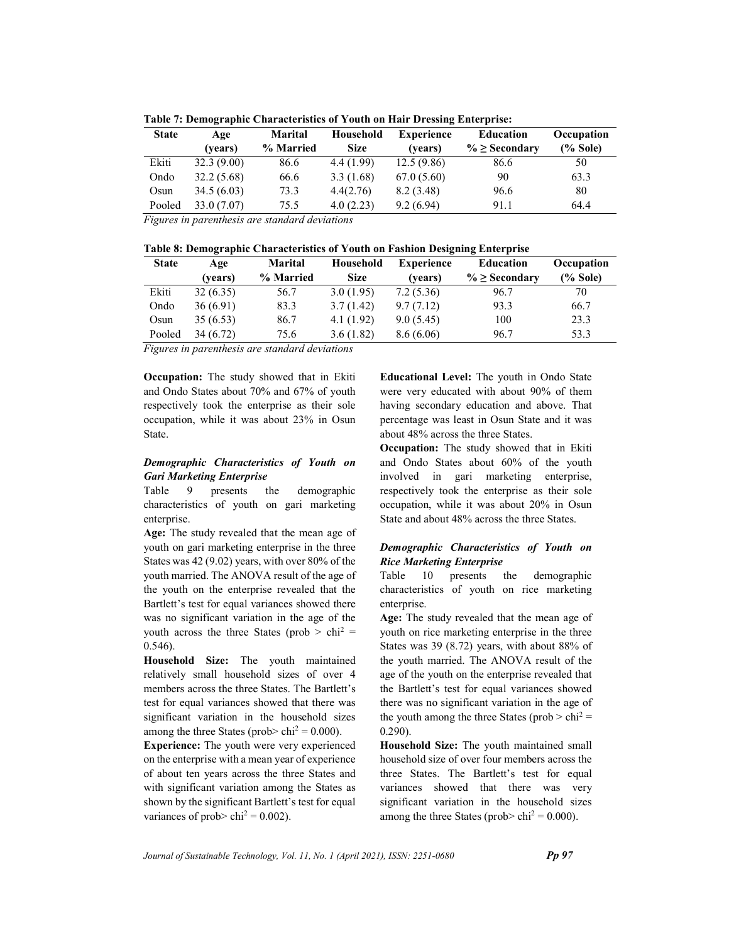| <b>State</b> | Age         | <b>Marital</b> | Household   | <b>Experience</b> | <b>Education</b>    | Occupation  |
|--------------|-------------|----------------|-------------|-------------------|---------------------|-------------|
|              | (vears)     | % Married      | <b>Size</b> | (vears)           | $\% \geq$ Secondary | $(\%$ Sole) |
| Ekiti        | 32.3(9.00)  | 86.6           | 4.4(1.99)   | 12.5(9.86)        | 86.6                | 50          |
| Ondo         | 32.2(5.68)  | 66.6           | 3.3(1.68)   | 67.0(5.60)        | 90                  | 63.3        |
| Osun         | 34.5(6.03)  | 73.3           | 4.4(2.76)   | 8.2(3.48)         | 96.6                | 80          |
| Pooled       | 33.0 (7.07) | 75.5           | 4.0(2.23)   | 9.2(6.94)         | 91.1                | 64.4        |

Table 7: Demographic Characteristics of Youth on Hair Dressing Enterprise:

| Table 8: Demographic Characteristics of Youth on Fashion Designing Enterprise |  |  |  |
|-------------------------------------------------------------------------------|--|--|--|
|                                                                               |  |  |  |

| <b>State</b> | Age      | <b>Marital</b> | Household   | <b>Experience</b> | <b>Education</b>    | Occupation  |
|--------------|----------|----------------|-------------|-------------------|---------------------|-------------|
|              | (vears)  | % Married      | <b>Size</b> | (vears)           | $\% \geq$ Secondary | $(\%$ Sole) |
| Ekiti        | 32(6.35) | 56.7           | 3.0(1.95)   | 7.2(5.36)         | 96.7                | 70          |
| Ondo         | 36(6.91) | 83.3           | 3.7(1.42)   | 9.7(7.12)         | 93.3                | 66.7        |
| Osun         | 35(6.53) | 86.7           | 4.1(1.92)   | 9.0(5.45)         | 100                 | 23.3        |
| Pooled       | 34(6.72) | 75.6           | 3.6(1.82)   | 8.6(6.06)         | 96.7                | 53.3        |

Figures in parenthesis are standard deviations

Occupation: The study showed that in Ekiti and Ondo States about 70% and 67% of youth respectively took the enterprise as their sole occupation, while it was about 23% in Osun State.

# Demographic Characteristics of Youth on Gari Marketing Enterprise

Table 9 presents the demographic characteristics of youth on gari marketing enterprise.

Age: The study revealed that the mean age of youth on gari marketing enterprise in the three States was 42 (9.02) years, with over 80% of the youth married. The ANOVA result of the age of the youth on the enterprise revealed that the Bartlett's test for equal variances showed there was no significant variation in the age of the youth across the three States (prob  $>$  chi<sup>2</sup> = 0.546).

Household Size: The youth maintained relatively small household sizes of over 4 members across the three States. The Bartlett's test for equal variances showed that there was significant variation in the household sizes among the three States (prob>  $\text{chi}^2 = 0.000$ ).

Experience: The youth were very experienced on the enterprise with a mean year of experience of about ten years across the three States and with significant variation among the States as shown by the significant Bartlett's test for equal variances of prob>  $\text{chi}^2 = 0.002$ ).

Educational Level: The youth in Ondo State were very educated with about 90% of them having secondary education and above. That percentage was least in Osun State and it was about 48% across the three States.

Occupation: The study showed that in Ekiti and Ondo States about 60% of the youth involved in gari marketing enterprise, respectively took the enterprise as their sole occupation, while it was about 20% in Osun State and about 48% across the three States.

# Demographic Characteristics of Youth on Rice Marketing Enterprise

Table 10 presents the demographic characteristics of youth on rice marketing enterprise.

Age: The study revealed that the mean age of youth on rice marketing enterprise in the three States was 39 (8.72) years, with about 88% of the youth married. The ANOVA result of the age of the youth on the enterprise revealed that the Bartlett's test for equal variances showed there was no significant variation in the age of the youth among the three States ( $prob > chi^2 =$ 0.290).

Household Size: The youth maintained small household size of over four members across the three States. The Bartlett's test for equal variances showed that there was very significant variation in the household sizes among the three States ( $prob$ > chi<sup>2</sup> = 0.000).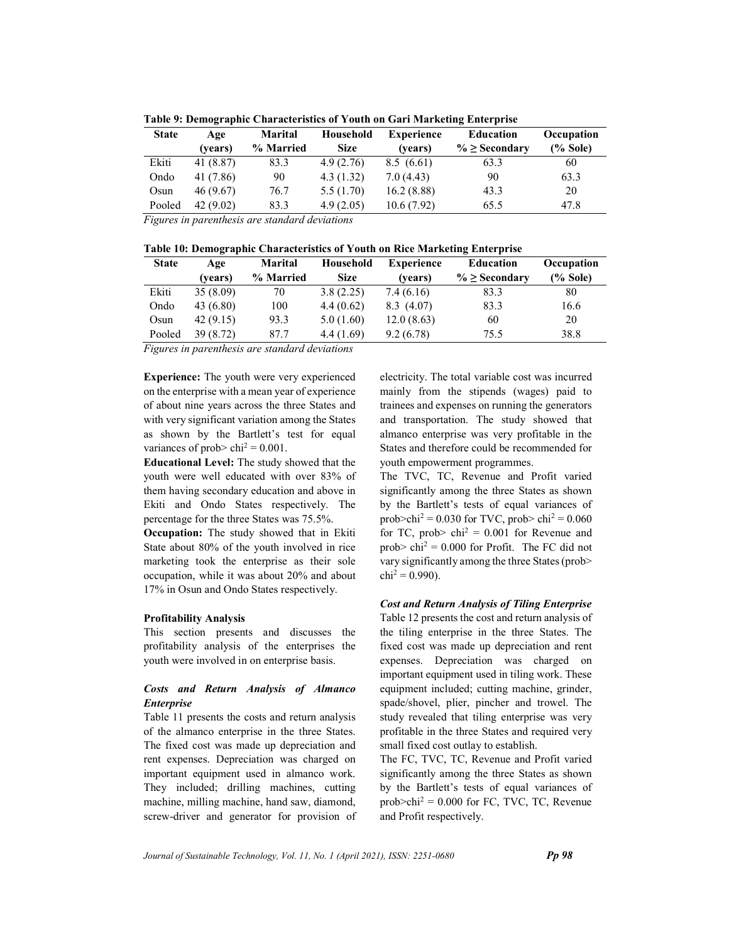| <b>State</b> | Age       | <b>Marital</b> | Household   | <b>Experience</b> | <b>Education</b>    | Occupation  |
|--------------|-----------|----------------|-------------|-------------------|---------------------|-------------|
|              | (vears)   | % Married      | <b>Size</b> | (vears)           | $\% \geq$ Secondary | $(\%$ Sole) |
| Ekiti        | 41 (8.87) | 83.3           | 4.9(2.76)   | 8.5(6.61)         | 63.3                | 60          |
| Ondo         | 41 (7.86) | 90             | 4.3(1.32)   | 7.0(4.43)         | 90                  | 63.3        |
| Osun         | 46 (9.67) | 76.7           | 5.5(1.70)   | 16.2(8.88)        | 43.3                | 20          |
| Pooled       | 42(9.02)  | 83.3           | 4.9(2.05)   | 10.6(7.92)        | 65.5                | 47.8        |
|              |           |                |             |                   |                     |             |

Table 9: Demographic Characteristics of Youth on Gari Marketing Enterprise

|  | Table 10: Demographic Characteristics of Youth on Rice Marketing Enterprise |  |  |
|--|-----------------------------------------------------------------------------|--|--|
|  |                                                                             |  |  |

| <b>State</b> | Age       | <b>Marital</b> | Household   | <b>Experience</b> | <b>Education</b>    | Occupation  |
|--------------|-----------|----------------|-------------|-------------------|---------------------|-------------|
|              | (vears)   | % Married      | <b>Size</b> | (vears)           | $\% \geq$ Secondary | $(\%$ Sole) |
| Ekiti        | 35(8.09)  | 70             | 3.8(2.25)   | 7.4(6.16)         | 83.3                | 80          |
| Ondo         | 43(6.80)  | 100            | 4.4(0.62)   | 8.3(4.07)         | 83.3                | 16.6        |
| Osun         | 42(9.15)  | 93.3           | 5.0(1.60)   | 12.0(8.63)        | 60                  | 20          |
| Pooled       | 39 (8.72) | 87.7           | 4.4(1.69)   | 9.2(6.78)         | 75.5                | 38.8        |

Figures in parenthesis are standard deviations

Experience: The youth were very experienced on the enterprise with a mean year of experience of about nine years across the three States and with very significant variation among the States as shown by the Bartlett's test for equal variances of prob>  $\text{chi}^2 = 0.001$ .

Educational Level: The study showed that the youth were well educated with over 83% of them having secondary education and above in Ekiti and Ondo States respectively. The percentage for the three States was 75.5%.

Occupation: The study showed that in Ekiti State about 80% of the youth involved in rice marketing took the enterprise as their sole occupation, while it was about 20% and about 17% in Osun and Ondo States respectively.

#### Profitability Analysis

This section presents and discusses the profitability analysis of the enterprises the youth were involved in on enterprise basis.

# Costs and Return Analysis of Almanco Enterprise

Table 11 presents the costs and return analysis of the almanco enterprise in the three States. The fixed cost was made up depreciation and rent expenses. Depreciation was charged on important equipment used in almanco work. They included; drilling machines, cutting machine, milling machine, hand saw, diamond, screw-driver and generator for provision of electricity. The total variable cost was incurred mainly from the stipends (wages) paid to trainees and expenses on running the generators and transportation. The study showed that almanco enterprise was very profitable in the States and therefore could be recommended for youth empowerment programmes.

The TVC, TC, Revenue and Profit varied significantly among the three States as shown by the Bartlett's tests of equal variances of prob>chi<sup>2</sup> = 0.030 for TVC, prob> chi<sup>2</sup> = 0.060 for TC, prob>  $\text{chi}^2 = 0.001$  for Revenue and prob>  $\text{chi}^2 = 0.000$  for Profit. The FC did not vary significantly among the three States (prob>  $\text{chi}^2 = 0.990$ ).

Cost and Return Analysis of Tiling Enterprise Table 12 presents the cost and return analysis of the tiling enterprise in the three States. The fixed cost was made up depreciation and rent expenses. Depreciation was charged on important equipment used in tiling work. These equipment included; cutting machine, grinder, spade/shovel, plier, pincher and trowel. The study revealed that tiling enterprise was very profitable in the three States and required very small fixed cost outlay to establish.

The FC, TVC, TC, Revenue and Profit varied significantly among the three States as shown by the Bartlett's tests of equal variances of  $prob > chi^2 = 0.000$  for FC, TVC, TC, Revenue and Profit respectively.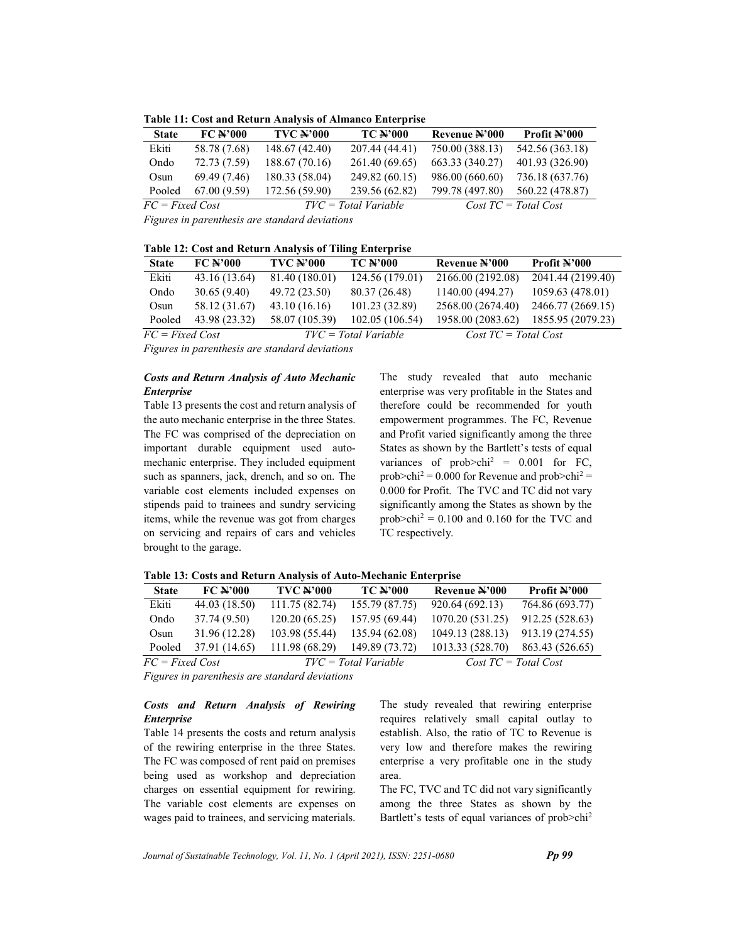Table 11: Cost and Return Analysis of Almanco Enterprise

| <b>State</b>      | $FC$ $\rightarrow$ 000 | <b>TVC N'000</b> | <b>TC N'000</b>        | Revenue N'000   | Profit N'000                 |
|-------------------|------------------------|------------------|------------------------|-----------------|------------------------------|
| Ekiti             | 58.78 (7.68)           | 148.67 (42.40)   | 207.44 (44.41)         | 750.00 (388.13) | 542.56 (363.18)              |
| Ondo              | 72.73 (7.59)           | 188.67 (70.16)   | 261.40 (69.65)         | 663.33 (340.27) | 401.93 (326.90)              |
| Osum              | 69.49 (7.46)           | 180.33 (58.04)   | 249.82 (60.15)         | 986.00 (660.60) | 736.18 (637.76)              |
| Pooled            | 67.00(9.59)            | 172.56 (59.90)   | 239.56 (62.82)         | 799.78 (497.80) | 560.22 (478.87)              |
| $FC = Fixed Cost$ |                        |                  | $TVC = Total Variable$ |                 | $Cost \, TC = Total \, Cost$ |

Table 12: Cost and Return Analysis of Tiling Enterprise

| <b>State</b>      | $FC$ $\rightarrow$ 000 | <b>TVC #'000</b> | <b>TC N'000</b>        | Revenue N'000                | Profit N'000      |
|-------------------|------------------------|------------------|------------------------|------------------------------|-------------------|
| Ekiti             | 43.16 (13.64)          | 81.40 (180.01)   | 124.56 (179.01)        | 2166.00 (2192.08)            | 2041.44 (2199.40) |
| Ondo              | 30.65(9.40)            | 49.72 (23.50)    | 80.37 (26.48)          | 1140.00 (494.27)             | 1059.63 (478.01)  |
| Osun              | 58.12 (31.67)          | 43.10(16.16)     | 101.23 (32.89)         | 2568.00 (2674.40)            | 2466.77 (2669.15) |
| Pooled            | 43.98 (23.32)          | 58.07 (105.39)   | 102.05(106.54)         | 1958.00 (2083.62)            | 1855.95 (2079.23) |
| $FC = Fixed Cost$ |                        |                  | $TVC = Total Variable$ | $Cost \, TC = Total \, Cost$ |                   |

Figures in parenthesis are standard deviations

#### Costs and Return Analysis of Auto Mechanic Enterprise

Table 13 presents the cost and return analysis of the auto mechanic enterprise in the three States. The FC was comprised of the depreciation on important durable equipment used automechanic enterprise. They included equipment such as spanners, jack, drench, and so on. The variable cost elements included expenses on stipends paid to trainees and sundry servicing items, while the revenue was got from charges on servicing and repairs of cars and vehicles brought to the garage.

The study revealed that auto mechanic enterprise was very profitable in the States and therefore could be recommended for youth empowerment programmes. The FC, Revenue and Profit varied significantly among the three States as shown by the Bartlett's tests of equal variances of prob>chi<sup>2</sup> =  $0.001$  for FC, prob>chi<sup>2</sup> = 0.000 for Revenue and prob>chi<sup>2</sup> = 0.000 for Profit. The TVC and TC did not vary significantly among the States as shown by the prob $\text{1}^2 = 0.100$  and 0.160 for the TVC and TC respectively.

|  |  |  | Table 13: Costs and Return Analysis of Auto-Mechanic Enterprise |  |
|--|--|--|-----------------------------------------------------------------|--|
|  |  |  |                                                                 |  |

| <b>State</b>      | $FC$ $\rightarrow$ 000 | <b>TVC N'000</b> | <b>TC N'000</b>        | Revenue N'000                | Profit N'000    |
|-------------------|------------------------|------------------|------------------------|------------------------------|-----------------|
| Ekiti             | 44.03 (18.50)          | 111.75 (82.74)   | 155.79 (87.75)         | 920.64 (692.13)              | 764.86 (693.77) |
| Ondo              | 37.74 (9.50)           | 120.20(65.25)    | 157.95 (69.44)         | 1070.20 (531.25)             | 912.25 (528.63) |
| Osun              | 31.96 (12.28)          | 103.98 (55.44)   | 135.94 (62.08)         | 1049.13 (288.13)             | 913.19 (274.55) |
| Pooled            | 37.91 (14.65)          | 111.98 (68.29)   | 149.89 (73.72)         | 1013.33 (528.70)             | 863.43 (526.65) |
| $FC = Fixed Cost$ |                        |                  | $TVC = Total Variable$ | $Cost \, TC = Total \, Cost$ |                 |

Figures in parenthesis are standard deviations

# Costs and Return Analysis of Rewiring Enterprise

Table 14 presents the costs and return analysis of the rewiring enterprise in the three States. The FC was composed of rent paid on premises being used as workshop and depreciation charges on essential equipment for rewiring. The variable cost elements are expenses on wages paid to trainees, and servicing materials. The study revealed that rewiring enterprise requires relatively small capital outlay to establish. Also, the ratio of TC to Revenue is very low and therefore makes the rewiring enterprise a very profitable one in the study area.

The FC, TVC and TC did not vary significantly among the three States as shown by the Bartlett's tests of equal variances of prob>chi2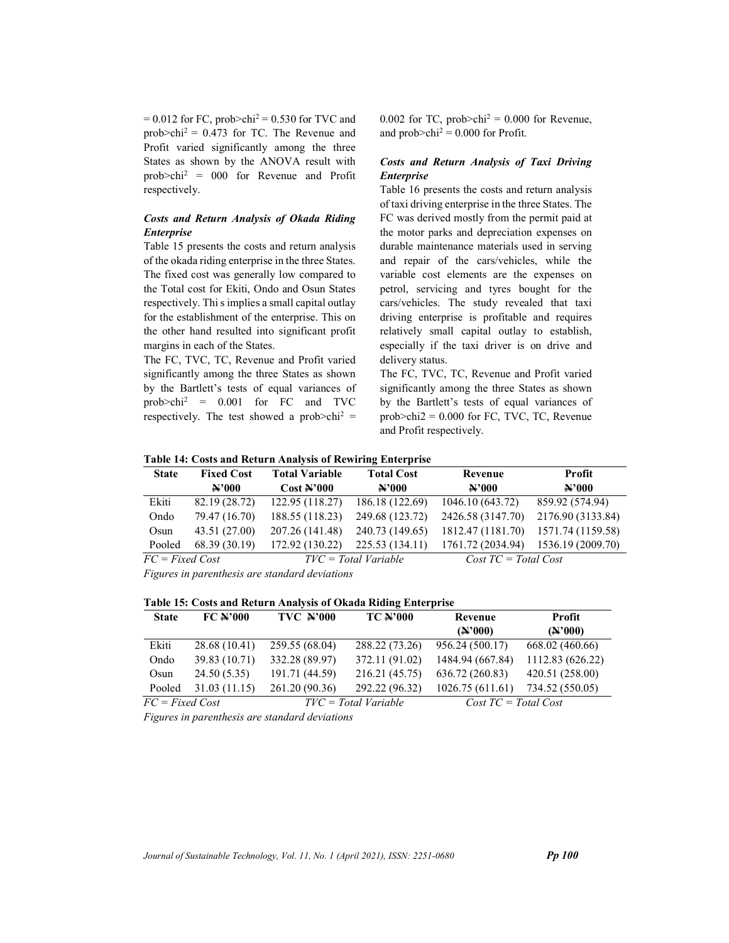$= 0.012$  for FC, prob>chi<sup>2</sup>  $= 0.530$  for TVC and prob $\text{echi}^2 = 0.473$  for TC. The Revenue and Profit varied significantly among the three States as shown by the ANOVA result with  $prob > chi^2 = 000$  for Revenue and Profit respectively.

#### Costs and Return Analysis of Okada Riding Enterprise

Table 15 presents the costs and return analysis of the okada riding enterprise in the three States. The fixed cost was generally low compared to the Total cost for Ekiti, Ondo and Osun States respectively. Thi s implies a small capital outlay for the establishment of the enterprise. This on the other hand resulted into significant profit margins in each of the States.

The FC, TVC, TC, Revenue and Profit varied significantly among the three States as shown by the Bartlett's tests of equal variances of prob>chi<sup>2</sup> = 0.001 for FC and TVC respectively. The test showed a prob $>$ chi<sup>2</sup> = 0.002 for TC, prob $>$ chi<sup>2</sup> = 0.000 for Revenue, and  $prob > \text{chi}^2 = 0.000$  for Profit.

# Costs and Return Analysis of Taxi Driving Enterprise

Table 16 presents the costs and return analysis of taxi driving enterprise in the three States. The FC was derived mostly from the permit paid at the motor parks and depreciation expenses on durable maintenance materials used in serving and repair of the cars/vehicles, while the variable cost elements are the expenses on petrol, servicing and tyres bought for the cars/vehicles. The study revealed that taxi driving enterprise is profitable and requires relatively small capital outlay to establish, especially if the taxi driver is on drive and delivery status.

The FC, TVC, TC, Revenue and Profit varied significantly among the three States as shown by the Bartlett's tests of equal variances of prob>chi2 = 0.000 for FC, TVC, TC, Revenue and Profit respectively.

|  |  | Table 14: Costs and Return Analysis of Rewiring Enterprise |
|--|--|------------------------------------------------------------|
|  |  |                                                            |

| <b>State</b>      | <b>Fixed Cost</b>     | <b>Total Variable</b>    | <b>Total Cost</b>      | Revenue                      | Profit                |
|-------------------|-----------------------|--------------------------|------------------------|------------------------------|-----------------------|
|                   | $\mathbf{\Sigma}$ 000 | $Cost$ $\rightarrow$ 000 | $\mathbf{N}$ '000      | $\mathbf{\Sigma}$ 000        | $\mathbf{\Sigma}$ 000 |
| Ekiti             | 82.19 (28.72)         | 122.95(118.27)           | 186.18 (122.69)        | 1046.10 (643.72)             | 859.92 (574.94)       |
| Ondo              | 79.47 (16.70)         | 188.55 (118.23)          | 249.68 (123.72)        | 2426.58 (3147.70)            | 2176.90 (3133.84)     |
| Osun              | 43.51 (27.00)         | 207.26 (141.48)          | 240.73 (149.65)        | 1812.47 (1181.70)            | 1571.74 (1159.58)     |
| Pooled            | 68.39 (30.19)         | 172.92 (130.22)          | 225.53 (134.11)        | 1761.72 (2034.94)            | 1536.19 (2009.70)     |
| $FC = Fixed Cost$ |                       |                          | $TVC = Total Variable$ | $Cost \, TC = Total \, Cost$ |                       |

Figures in parenthesis are standard deviations

#### Table 15: Costs and Return Analysis of Okada Riding Enterprise

| <b>State</b>      | $FC$ $N$ 000  | <b>TVC N'000</b> | <b>TC N'000</b>        | Revenue                      | Profit           |
|-------------------|---------------|------------------|------------------------|------------------------------|------------------|
|                   |               |                  |                        | $(*"000)$                    | $(*"000)$        |
| Ekiti             | 28.68 (10.41) | 259.55 (68.04)   | 288.22 (73.26)         | 956.24 (500.17)              | 668.02 (460.66)  |
| Ondo              | 39.83 (10.71) | 332.28 (89.97)   | 372.11 (91.02)         | 1484.94 (667.84)             | 1112.83 (626.22) |
| Osun              | 24.50(5.35)   | 191.71 (44.59)   | 216.21 (45.75)         | 636.72 (260.83)              | 420.51 (258.00)  |
| Pooled            | 31.03(11.15)  | 261.20 (90.36)   | 292.22 (96.32)         | 1026.75(611.61)              | 734.52 (550.05)  |
| $FC = Fixed Cost$ |               |                  | $TVC = Total Variable$ | $Cost \, TC = Total \, Cost$ |                  |

Figures in parenthesis are standard deviations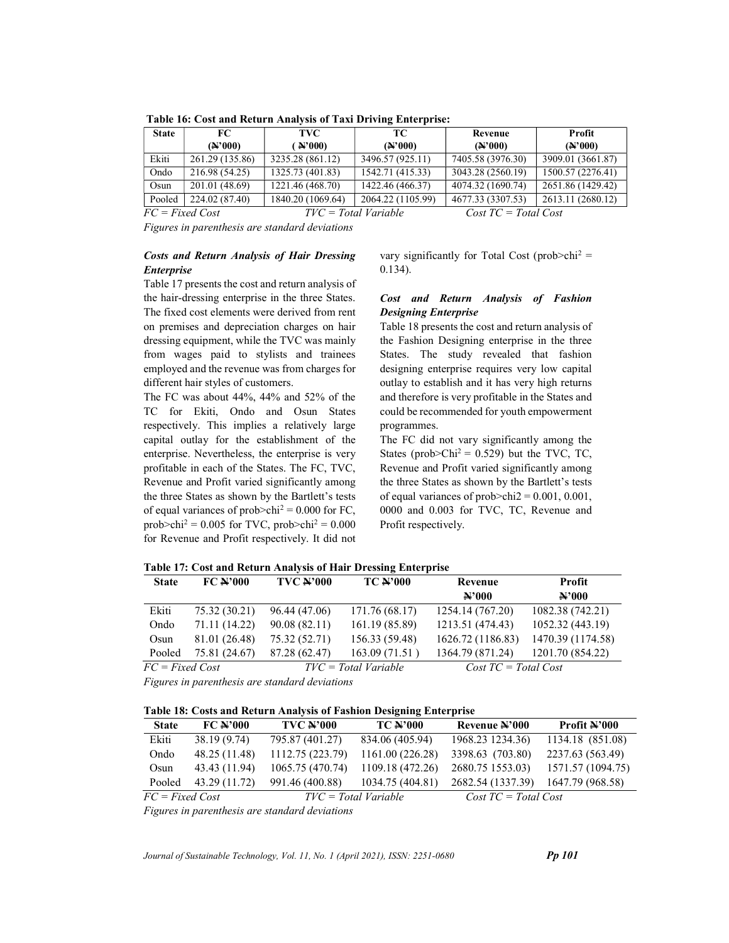| <b>State</b>      | FC.                      | <b>TVC</b>        | TС.                      | Revenue                      | Profit            |
|-------------------|--------------------------|-------------------|--------------------------|------------------------------|-------------------|
|                   | $({\bf A}^{\dagger}000)$ | $($ N'000)        | $({\bf A}^{\dagger}000)$ | $(4^{\circ}000)$             | $({\bf A}^2000)$  |
| Ekiti             | 261.29 (135.86)          | 3235.28 (861.12)  | 3496.57 (925.11)         | 7405.58 (3976.30)            | 3909.01 (3661.87) |
| Ondo              | 216.98 (54.25)           | 1325.73 (401.83)  | 1542.71 (415.33)         | 3043.28 (2560.19)            | 1500.57 (2276.41) |
| Osun              | 201.01 (48.69)           | 1221.46 (468.70)  | 1422.46 (466.37)         | 4074.32 (1690.74)            | 2651.86 (1429.42) |
| Pooled            | 224.02 (87.40)           | 1840.20 (1069.64) | 2064.22 (1105.99)        | 4677.33 (3307.53)            | 2613.11 (2680.12) |
| $FC = Fixed Cost$ |                          |                   | $TVC = Total Variable$   | $Cost \, TC = Total \, Cost$ |                   |

Table 16: Cost and Return Analysis of Taxi Driving Enterprise:

#### Costs and Return Analysis of Hair Dressing Enterprise

Table 17 presents the cost and return analysis of the hair-dressing enterprise in the three States. The fixed cost elements were derived from rent on premises and depreciation charges on hair dressing equipment, while the TVC was mainly from wages paid to stylists and trainees employed and the revenue was from charges for different hair styles of customers.

The FC was about 44%, 44% and 52% of the TC for Ekiti, Ondo and Osun States respectively. This implies a relatively large capital outlay for the establishment of the enterprise. Nevertheless, the enterprise is very profitable in each of the States. The FC, TVC, Revenue and Profit varied significantly among the three States as shown by the Bartlett's tests of equal variances of prob $\ge$ chi<sup>2</sup> = 0.000 for FC, prob>chi<sup>2</sup> = 0.005 for TVC, prob>chi<sup>2</sup> = 0.000 for Revenue and Profit respectively. It did not

vary significantly for Total Cost (prob>chi<sup>2</sup> = 0.134).

# Cost and Return Analysis of Fashion Designing Enterprise

Table 18 presents the cost and return analysis of the Fashion Designing enterprise in the three States. The study revealed that fashion designing enterprise requires very low capital outlay to establish and it has very high returns and therefore is very profitable in the States and could be recommended for youth empowerment programmes.

The FC did not vary significantly among the States (prob $\geq$ Chi<sup>2</sup> = 0.529) but the TVC, TC, Revenue and Profit varied significantly among the three States as shown by the Bartlett's tests of equal variances of prob $>$ chi2 = 0.001, 0.001, 0000 and 0.003 for TVC, TC, Revenue and Profit respectively.

Table 17: Cost and Return Analysis of Hair Dressing Enterprise

|                   | Tuble 177 Cost and Iteration in the second of the pressure Enterprise |                  |                        |                              |                   |  |  |
|-------------------|-----------------------------------------------------------------------|------------------|------------------------|------------------------------|-------------------|--|--|
| <b>State</b>      | $FC$ $N$ 000                                                          | <b>TVC ¥'000</b> | <b>TC N'000</b>        | Revenue                      | Profit            |  |  |
|                   |                                                                       |                  |                        | $\mathbf{\mathbf{H}^2000}$   | $\mathbf{A}$ '000 |  |  |
| Ekiti             | 75.32 (30.21)                                                         | 96.44 (47.06)    | 171.76 (68.17)         | 1254.14 (767.20)             | 1082.38 (742.21)  |  |  |
| Ondo              | 71.11 (14.22)                                                         | 90.08(82.11)     | 161.19 (85.89)         | 1213.51 (474.43)             | 1052.32 (443.19)  |  |  |
| Osun              | 81.01 (26.48)                                                         | 75.32 (52.71)    | 156.33 (59.48)         | 1626.72 (1186.83)            | 1470.39 (1174.58) |  |  |
| Pooled            | 75.81 (24.67)                                                         | 87.28 (62.47)    | 163.09 (71.51)         | 1364.79 (871.24)             | 1201.70 (854.22)  |  |  |
| $FC = Fixed Cost$ |                                                                       |                  | $TVC = Total Variable$ | $Cost \, TC = Total \, Cost$ |                   |  |  |

Figures in parenthesis are standard deviations

Table 18: Costs and Return Analysis of Fashion Designing Enterprise

| <b>State</b>      | $FC$ $\rightarrow$ 000 | <b>TVC N'000</b>       | <b>TC N'000</b>  | Revenue N'000                | Profit N'000      |
|-------------------|------------------------|------------------------|------------------|------------------------------|-------------------|
| Ekiti             | 38.19 (9.74)           | 795.87 (401.27)        | 834.06 (405.94)  | 1968.23 1234.36)             | 1134.18 (851.08)  |
| Ondo              | 48.25 (11.48)          | 1112.75 (223.79)       | 1161.00 (226.28) | 3398.63 (703.80)             | 2237.63 (563.49)  |
| Osun              | 43.43 (11.94)          | 1065.75 (470.74)       | 1109.18 (472.26) | 2680.75 1553.03)             | 1571.57 (1094.75) |
| Pooled            | 43.29 (11.72)          | 991.46 (400.88)        | 1034.75 (404.81) | 2682.54 (1337.39)            | 1647.79 (968.58)  |
| $FC = Fixed Cost$ |                        | $TVC = Total Variable$ |                  | $Cost \, TC = Total \, Cost$ |                   |

Figures in parenthesis are standard deviations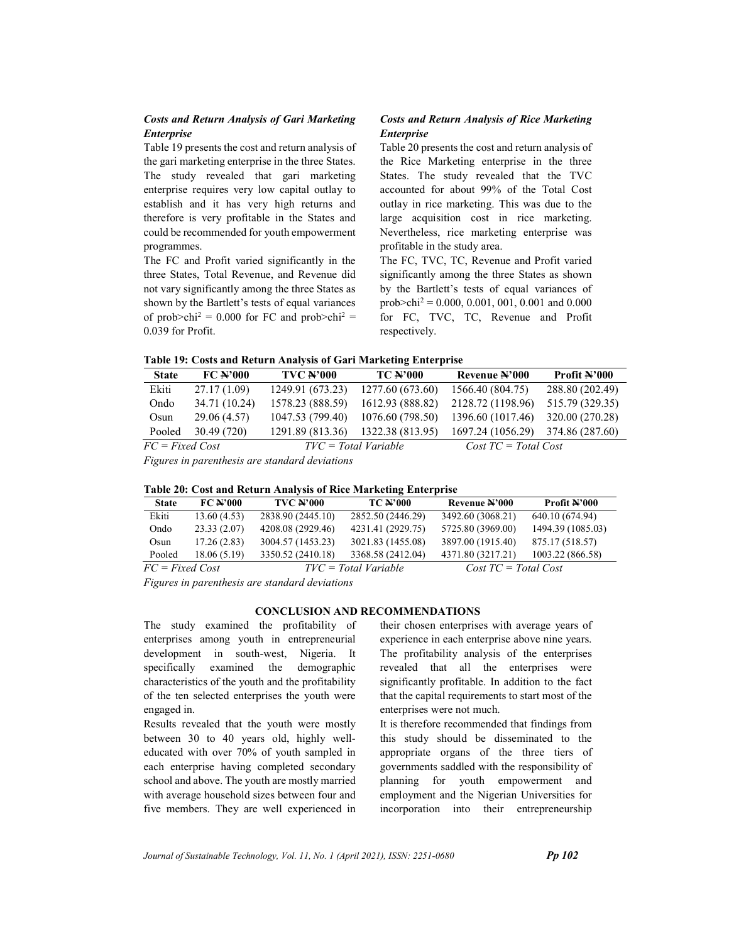# Costs and Return Analysis of Gari Marketing Enterprise

Table 19 presents the cost and return analysis of the gari marketing enterprise in the three States. The study revealed that gari marketing enterprise requires very low capital outlay to establish and it has very high returns and therefore is very profitable in the States and could be recommended for youth empowerment programmes.

The FC and Profit varied significantly in the three States, Total Revenue, and Revenue did not vary significantly among the three States as shown by the Bartlett's tests of equal variances of prob>chi<sup>2</sup> = 0.000 for FC and prob>chi<sup>2</sup> = 0.039 for Profit.

# Costs and Return Analysis of Rice Marketing Enterprise

Table 20 presents the cost and return analysis of the Rice Marketing enterprise in the three States. The study revealed that the TVC accounted for about 99% of the Total Cost outlay in rice marketing. This was due to the large acquisition cost in rice marketing. Nevertheless, rice marketing enterprise was profitable in the study area.

The FC, TVC, TC, Revenue and Profit varied significantly among the three States as shown by the Bartlett's tests of equal variances of prob>chi<sup>2</sup> = 0.000, 0.001, 001, 0.001 and 0.000 for FC, TVC, TC, Revenue and Profit respectively.

Table 19: Costs and Return Analysis of Gari Marketing Enterprise

| <b>State</b>      | $FC$ $\rightarrow$ 000 | <b>TVC N'000</b>       | <b>TC N'000</b>  | Revenue N'000                | <b>Profit <math>\mathbb{A}</math>'000</b> |
|-------------------|------------------------|------------------------|------------------|------------------------------|-------------------------------------------|
| Ekiti             | 27.17(1.09)            | 1249.91 (673.23)       | 1277.60 (673.60) | 1566.40 (804.75)             | 288.80 (202.49)                           |
| Ondo              | 34.71 (10.24)          | 1578.23 (888.59)       | 1612.93 (888.82) | 2128.72 (1198.96)            | 515.79 (329.35)                           |
| Osun              | 29.06 (4.57)           | 1047.53 (799.40)       | 1076.60 (798.50) | 1396.60 (1017.46)            | 320.00 (270.28)                           |
| Pooled            | 30.49(720)             | 1291.89 (813.36)       | 1322.38 (813.95) | 1697.24 (1056.29)            | 374.86 (287.60)                           |
| $FC = Fixed Cost$ |                        | $TVC = Total Variable$ |                  | $Cost \, TC = Total \, Cost$ |                                           |

Figures in parenthesis are standard deviations

|  |  |  | Table 20: Cost and Return Analysis of Rice Marketing Enterprise |
|--|--|--|-----------------------------------------------------------------|
|  |  |  |                                                                 |

| <b>State</b>      | $FC$ $\rightarrow$ $000$ | <b>TVC N'000</b>       | <b>TC N'000</b>   | Revenue #'000                | Profit N'000      |
|-------------------|--------------------------|------------------------|-------------------|------------------------------|-------------------|
| Ekiti             | 13.60(4.53)              | 2838.90 (2445.10)      | 2852.50 (2446.29) | 3492.60 (3068.21)            | 640.10 (674.94)   |
| Ondo              | 23.33(2.07)              | 4208.08 (2929.46)      | 4231.41 (2929.75) | 5725.80 (3969.00)            | 1494.39 (1085.03) |
| Osun              | 17.26(2.83)              | 3004.57 (1453.23)      | 3021.83 (1455.08) | 3897.00 (1915.40)            | 875.17 (518.57)   |
| Pooled            | 18.06(5.19)              | 3350.52 (2410.18)      | 3368.58 (2412.04) | 4371.80 (3217.21)            | 1003.22 (866.58)  |
| $FC = Fixed Cost$ |                          | $TVC = Total Variable$ |                   | $Cost \, TC = Total \, Cost$ |                   |

Figures in parenthesis are standard deviations

# CONCLUSION AND RECOMMENDATIONS

The study examined the profitability of enterprises among youth in entrepreneurial development in south-west, Nigeria. It specifically examined the demographic characteristics of the youth and the profitability of the ten selected enterprises the youth were engaged in.

Results revealed that the youth were mostly between 30 to 40 years old, highly welleducated with over 70% of youth sampled in each enterprise having completed secondary school and above. The youth are mostly married with average household sizes between four and five members. They are well experienced in their chosen enterprises with average years of experience in each enterprise above nine years. The profitability analysis of the enterprises revealed that all the enterprises were significantly profitable. In addition to the fact that the capital requirements to start most of the enterprises were not much.

It is therefore recommended that findings from this study should be disseminated to the appropriate organs of the three tiers of governments saddled with the responsibility of planning for youth empowerment and employment and the Nigerian Universities for incorporation into their entrepreneurship